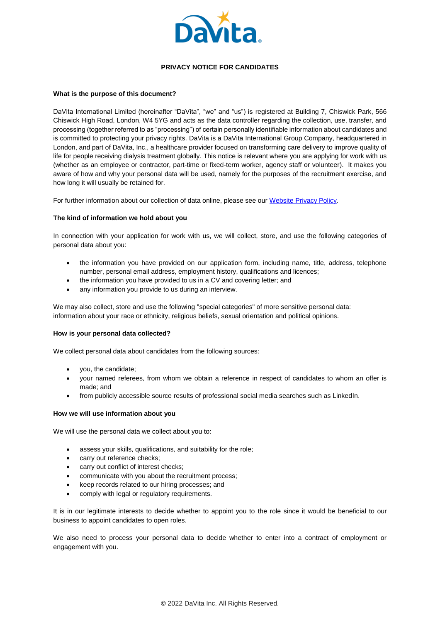

# **PRIVACY NOTICE FOR CANDIDATES**

# **What is the purpose of this document?**

DaVita International Limited (hereinafter "DaVita", "we" and "us") is registered at Building 7, Chiswick Park, 566 Chiswick High Road, London, W4 5YG and acts as the data controller regarding the collection, use, transfer, and processing (together referred to as "processing") of certain personally identifiable information about candidates and is committed to protecting your privacy rights. DaVita is a DaVita International Group Company, headquartered in London, and part of DaVita, Inc., a healthcare provider focused on transforming care delivery to improve quality of life for people receiving dialysis treatment globally. This notice is relevant where you are applying for work with us (whether as an employee or contractor, part-time or fixed-term worker, agency staff or volunteer). It makes you aware of how and why your personal data will be used, namely for the purposes of the recruitment exercise, and how long it will usually be retained for.

For further information about our collection of data online, please see ou[r Website Privacy Policy.](https://www.davita.com/-/media/davita/project/corporate/international/pdf/privacy-notice-davita-uk_v2.ashx?la=en-us&hash=C7CC9B34CD460E666C4BF1B5667EE4E67FF4D7BE)

# **The kind of information we hold about you**

In connection with your application for work with us, we will collect, store, and use the following categories of personal data about you:

- the information you have provided on our application form, including name, title, address, telephone number, personal email address, employment history, qualifications and licences;
- the information you have provided to us in a CV and covering letter; and
- any information you provide to us during an interview.

We may also collect, store and use the following "special categories" of more sensitive personal data: information about your race or ethnicity, religious beliefs, sexual orientation and political opinions.

# **How is your personal data collected?**

We collect personal data about candidates from the following sources:

- you, the candidate;
- your named referees, from whom we obtain a reference in respect of candidates to whom an offer is made; and
- from publicly accessible source results of professional social media searches such as LinkedIn.

# **How we will use information about you**

We will use the personal data we collect about you to:

- assess your skills, qualifications, and suitability for the role;
- carry out reference checks;
- carry out conflict of interest checks;
- communicate with you about the recruitment process;
- keep records related to our hiring processes; and
- comply with legal or regulatory requirements.

It is in our legitimate interests to decide whether to appoint you to the role since it would be beneficial to our business to appoint candidates to open roles.

We also need to process your personal data to decide whether to enter into a contract of employment or engagement with you.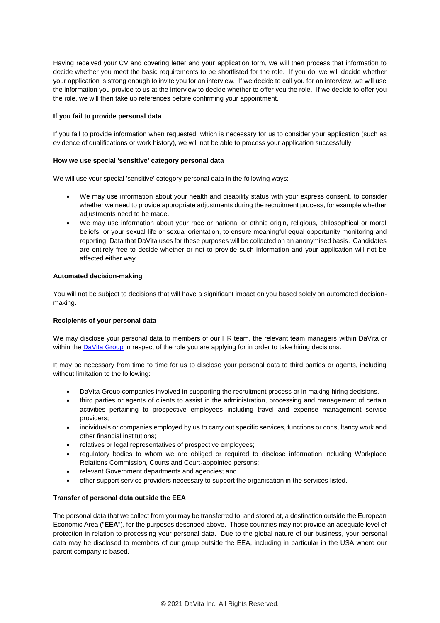Having received your CV and covering letter and your application form, we will then process that information to decide whether you meet the basic requirements to be shortlisted for the role. If you do, we will decide whether your application is strong enough to invite you for an interview. If we decide to call you for an interview, we will use the information you provide to us at the interview to decide whether to offer you the role. If we decide to offer you the role, we will then take up references before confirming your appointment.

# **If you fail to provide personal data**

If you fail to provide information when requested, which is necessary for us to consider your application (such as evidence of qualifications or work history), we will not be able to process your application successfully.

# **How we use special 'sensitive' category personal data**

We will use your special 'sensitive' category personal data in the following ways:

- We may use information about your health and disability status with your express consent, to consider whether we need to provide appropriate adjustments during the recruitment process, for example whether adjustments need to be made.
- We may use information about your race or national or ethnic origin, religious, philosophical or moral beliefs, or your sexual life or sexual orientation, to ensure meaningful equal opportunity monitoring and reporting. Data that DaVita uses for these purposes will be collected on an anonymised basis. Candidates are entirely free to decide whether or not to provide such information and your application will not be affected either way.

# **Automated decision-making**

You will not be subject to decisions that will have a significant impact on you based solely on automated decisionmaking.

# **Recipients of your personal data**

We may disclose your personal data to members of our HR team, the relevant team managers within DaVita or within th[e DaVita Group](https://www.davita.com/international) in respect of the role you are applying for in order to take hiring decisions.

It may be necessary from time to time for us to disclose your personal data to third parties or agents, including without limitation to the following:

- DaVita Group companies involved in supporting the recruitment process or in making hiring decisions.
- third parties or agents of clients to assist in the administration, processing and management of certain activities pertaining to prospective employees including travel and expense management service providers;
- individuals or companies employed by us to carry out specific services, functions or consultancy work and other financial institutions;
- relatives or legal representatives of prospective employees;
- regulatory bodies to whom we are obliged or required to disclose information including Workplace Relations Commission, Courts and Court-appointed persons;
- relevant Government departments and agencies; and
- other support service providers necessary to support the organisation in the services listed.

# **Transfer of personal data outside the EEA**

The personal data that we collect from you may be transferred to, and stored at, a destination outside the European Economic Area ("**EEA**"), for the purposes described above. Those countries may not provide an adequate level of protection in relation to processing your personal data. Due to the global nature of our business, your personal data may be disclosed to members of our group outside the EEA, including in particular in the USA where our parent company is based.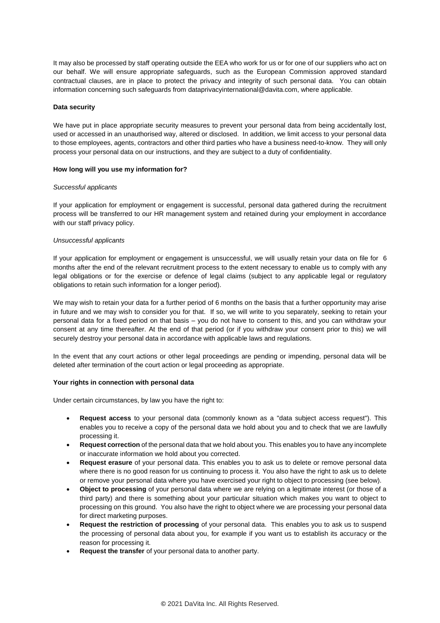It may also be processed by staff operating outside the EEA who work for us or for one of our suppliers who act on our behalf. We will ensure appropriate safeguards, such as the European Commission approved standard contractual clauses, are in place to protect the privacy and integrity of such personal data. You can obtain information concerning such safeguards from dataprivacyinternational@davita.com, where applicable.

### **Data security**

We have put in place appropriate security measures to prevent your personal data from being accidentally lost, used or accessed in an unauthorised way, altered or disclosed. In addition, we limit access to your personal data to those employees, agents, contractors and other third parties who have a business need-to-know. They will only process your personal data on our instructions, and they are subject to a duty of confidentiality.

#### **How long will you use my information for?**

#### *Successful applicants*

If your application for employment or engagement is successful, personal data gathered during the recruitment process will be transferred to our HR management system and retained during your employment in accordance with our staff privacy policy.

#### *Unsuccessful applicants*

If your application for employment or engagement is unsuccessful, we will usually retain your data on file for 6 months after the end of the relevant recruitment process to the extent necessary to enable us to comply with any legal obligations or for the exercise or defence of legal claims (subject to any applicable legal or regulatory obligations to retain such information for a longer period).

We may wish to retain your data for a further period of 6 months on the basis that a further opportunity may arise in future and we may wish to consider you for that. If so, we will write to you separately, seeking to retain your personal data for a fixed period on that basis – you do not have to consent to this, and you can withdraw your consent at any time thereafter. At the end of that period (or if you withdraw your consent prior to this) we will securely destroy your personal data in accordance with applicable laws and regulations.

In the event that any court actions or other legal proceedings are pending or impending, personal data will be deleted after termination of the court action or legal proceeding as appropriate.

# **Your rights in connection with personal data**

Under certain circumstances, by law you have the right to:

- **Request access** to your personal data (commonly known as a "data subject access request"). This enables you to receive a copy of the personal data we hold about you and to check that we are lawfully processing it.
- **Request correction** of the personal data that we hold about you. This enables you to have any incomplete or inaccurate information we hold about you corrected.
- **Request erasure** of your personal data. This enables you to ask us to delete or remove personal data where there is no good reason for us continuing to process it. You also have the right to ask us to delete or remove your personal data where you have exercised your right to object to processing (see below).
- **Object to processing** of your personal data where we are relying on a legitimate interest (or those of a third party) and there is something about your particular situation which makes you want to object to processing on this ground. You also have the right to object where we are processing your personal data for direct marketing purposes.
- **Request the restriction of processing** of your personal data. This enables you to ask us to suspend the processing of personal data about you, for example if you want us to establish its accuracy or the reason for processing it.
- **Request the transfer** of your personal data to another party.